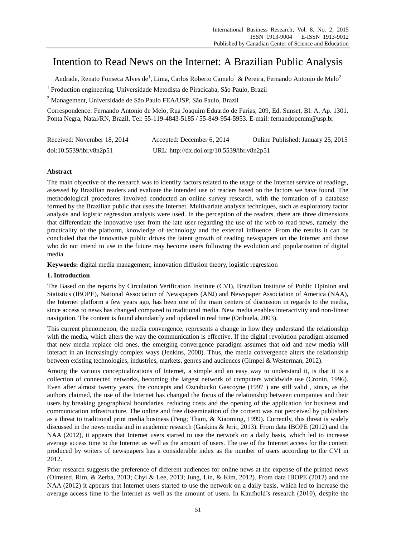# Intention to Read News on the Internet: A Brazilian Public Analysis

Andrade, Renato Fonseca Alves de<sup>1</sup>, Lima, Carlos Roberto Camelo<sup>1</sup> & Pereira, Fernando Antonio de Melo<sup>2</sup>

<sup>1</sup> Production engineering, Universidade Metodista de Piracicaba, São Paulo, Brazil

<sup>2</sup> Management, Universidade de São Paulo FEA/USP, São Paulo, Brazil

Correspondence: Fernando Antonio de Melo, Rua Joaquim Eduardo de Farias, 209, Ed. Sunset, Bl. A, Ap. 1301. Ponta Negra, Natal/RN, Brazil. Tel: 55-119-4843-5185 / 55-849-954-5953. E-mail: fernandopcmm@usp.br

| Received: November 18, 2014 | Accepted: December 6, 2014                 | Online Published: January 25, 2015 |
|-----------------------------|--------------------------------------------|------------------------------------|
| doi:10.5539/ibr.v8n2p51     | URL: http://dx.doi.org/10.5539/ibr.v8n2p51 |                                    |

## **Abstract**

The main objective of the research was to identify factors related to the usage of the Internet service of readings, assessed by Brazilian readers and evaluate the intended use of readers based on the factors we have found. The methodological procedures involved conducted an online survey research, with the formation of a database formed by the Brazilian public that uses the Internet. Multivariate analysis techniques, such as exploratory factor analysis and logistic regression analysis were used. In the perception of the readers, there are three dimensions that differentiate the innovative user from the late user regarding the use of the web to read news, namely: the practicality of the platform, knowledge of technology and the external influence. From the results it can be concluded that the innovative public drives the latent growth of reading newspapers on the Internet and those who do not intend to use in the future may become users following the evolution and popularization of digital media

**Keywords:** digital media management, innovation diffusion theory, logistic regression

## **1. Introduction**

The Based on the reports by Circulation Verification Institute (CVI), Brazilian Institute of Public Opinion and Statistics (IBOPE), National Association of Newspapers (ANJ) and Newspaper Association of America (NAA), the Internet platform a few years ago, has been one of the main centers of discussion in regards to the media, since access to news has changed compared to traditional media. New media enables interactivity and non-linear navigation. The content is found abundantly and updated in real time (Orihuela, 2003).

This current phenomenon, the media convergence, represents a change in how they understand the relationship with the media, which alters the way the communication is effective. If the digital revolution paradigm assumed that new media replace old ones, the emerging convergence paradigm assumes that old and new media will interact in an increasingly complex ways (Jenkins, 2008). Thus, the media convergence alters the relationship between existing technologies, industries, markets, genres and audiences (Gimpel & Westerman, 2012).

Among the various conceptualizations of Internet, a simple and an easy way to understand it, is that it is a collection of connected networks, becoming the largest network of computers worldwide use (Cronin, 1996). Even after almost twenty years, the concepts and Ozcubucku Gascoyne (1997 ) are still valid , since, as the authors claimed, the use of the Internet has changed the focus of the relationship between companies and their users by breaking geographical boundaries, reducing costs and the opening of the application for business and communication infrastructure. The online and free dissemination of the content was not perceived by publishers as a threat to traditional print media business (Peng; Tham, & Xiaoming, 1999). Currently, this threat is widely discussed in the news media and in academic research (Gaskins & Jerit, 2013). From data IBOPE (2012) and the NAA (2012), it appears that Internet users started to use the network on a daily basis, which led to increase average access time to the Internet as well as the amount of users. The use of the Internet access for the content produced by writers of newspapers has a considerable index as the number of users according to the CVI in 2012.

Prior research suggests the preference of different audiences for online news at the expense of the printed news (Olmsted, Rim, & Zerba, 2013; Chyi & Lee, 2013; Jung, Lin, & Kim, 2012). From data IBOPE (2012) and the NAA (2012) it appears that Internet users started to use the network on a daily basis, which led to increase the average access time to the Internet as well as the amount of users. In Kaufhold's research (2010), despite the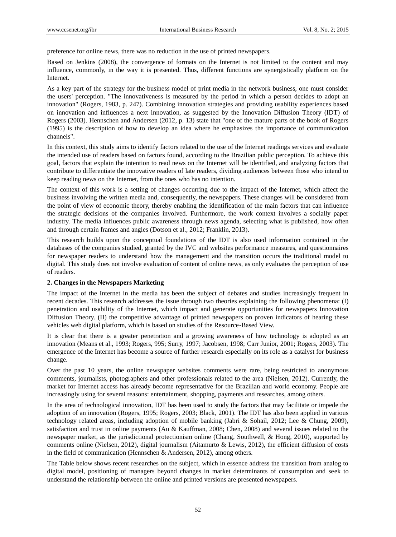preference for online news, there was no reduction in the use of printed newspapers.

Based on Jenkins (2008), the convergence of formats on the Internet is not limited to the content and may influence, commonly, in the way it is presented. Thus, different functions are synergistically platform on the Internet.

As a key part of the strategy for the business model of print media in the network business, one must consider the users' perception. "The innovativeness is measured by the period in which a person decides to adopt an innovation" (Rogers, 1983, p. 247). Combining innovation strategies and providing usability experiences based on innovation and influences a next innovation, as suggested by the Innovation Diffusion Theory (IDT) of Rogers (2003). Hennschen and Andersen (2012, p. 13) state that "one of the mature parts of the book of Rogers (1995) is the description of how to develop an idea where he emphasizes the importance of communication channels".

In this context, this study aims to identify factors related to the use of the Internet readings services and evaluate the intended use of readers based on factors found, according to the Brazilian public perception. To achieve this goal, factors that explain the intention to read news on the Internet will be identified, and analyzing factors that contribute to differentiate the innovative readers of late readers, dividing audiences between those who intend to keep reading news on the Internet, from the ones who has no intention.

The context of this work is a setting of changes occurring due to the impact of the Internet, which affect the business involving the written media and, consequently, the newspapers. These changes will be considered from the point of view of economic theory, thereby enabling the identification of the main factors that can influence the strategic decisions of the companies involved. Furthermore, the work context involves a socially paper industry. The media influences public awareness through news agenda, selecting what is published, how often and through certain frames and angles (Dotson et al., 2012; Franklin, 2013).

This research builds upon the conceptual foundations of the IDT is also used information contained in the databases of the companies studied, granted by the IVC and websites performance measures, and questionnaires for newspaper readers to understand how the management and the transition occurs the traditional model to digital. This study does not involve evaluation of content of online news, as only evaluates the perception of use of readers.

## **2. Changes in the Newspapers Marketing**

The impact of the Internet in the media has been the subject of debates and studies increasingly frequent in recent decades. This research addresses the issue through two theories explaining the following phenomena: (I) penetration and usability of the Internet, which impact and generate opportunities for newspapers Innovation Diffusion Theory. (II) the competitive advantage of printed newspapers on proven indicators of hearing these vehicles web digital platform, which is based on studies of the Resource-Based View.

It is clear that there is a greater penetration and a growing awareness of how technology is adopted as an innovation (Means et al., 1993; Rogers, 995; Surry, 1997; Jacobsen, 1998; Carr Junior, 2001; Rogers, 2003). The emergence of the Internet has become a source of further research especially on its role as a catalyst for business change.

Over the past 10 years, the online newspaper websites comments were rare, being restricted to anonymous comments, journalists, photographers and other professionals related to the area (Nielsen, 2012). Currently, the market for Internet access has already become representative for the Brazilian and world economy. People are increasingly using for several reasons: entertainment, shopping, payments and researches, among others.

In the area of technological innovation, IDT has been used to study the factors that may facilitate or impede the adoption of an innovation (Rogers, 1995; Rogers, 2003; Black, 2001). The IDT has also been applied in various technology related areas, including adoption of mobile banking (Jabri & Sohail, 2012; Lee & Chung, 2009), satisfaction and trust in online payments (Au & Kauffman, 2008; Chen, 2008) and several issues related to the newspaper market, as the jurisdictional protectionism online (Chang, Southwell, & Hong, 2010), supported by comments online (Nielsen, 2012), digital journalism (Aitamurto & Lewis, 2012), the efficient diffusion of costs in the field of communication (Hennschen & Andersen, 2012), among others.

The Table below shows recent researches on the subject, which in essence address the transition from analog to digital model, positioning of managers beyond changes in market determinants of consumption and seek to understand the relationship between the online and printed versions are presented newspapers.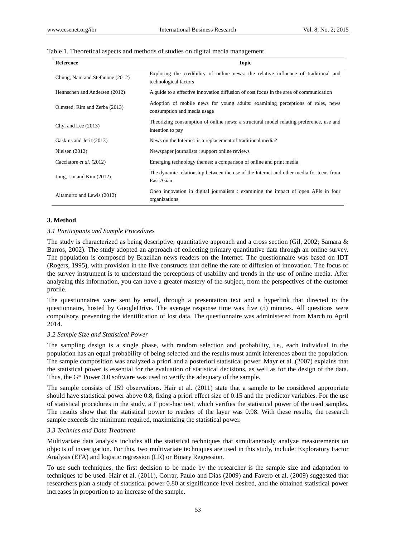| <b>Reference</b>                | <b>Topic</b>                                                                                                  |
|---------------------------------|---------------------------------------------------------------------------------------------------------------|
| Chung, Nam and Stefanone (2012) | Exploring the credibility of online news: the relative influence of traditional and<br>technological factors  |
| Hennschen and Andersen (2012)   | A guide to a effective innovation diffusion of cost focus in the area of communication                        |
| Olmsted, Rim and Zerba (2013)   | Adoption of mobile news for young adults: examining perceptions of roles, news<br>consumption and media usage |
| Chyi and Lee (2013)             | Theorizing consumption of online news: a structural model relating preference, use and<br>intention to pay    |
| Gaskins and Jerit (2013)        | News on the Internet: is a replacement of traditional media?                                                  |
| Nielsen $(2012)$                | Newspaper journalists : support online reviews                                                                |
| Cacciatore et al. (2012)        | Emerging technology themes: a comparison of online and print media                                            |
| Jung, Lin and Kim (2012)        | The dynamic relationship between the use of the Internet and other media for teens from<br>East Asian         |
| Aitamurto and Lewis (2012)      | Open innovation in digital journalism: examining the impact of open APIs in four<br>organizations             |

#### Table 1. Theoretical aspects and methods of studies on digital media management

## **3. Method**

#### *3.1 Participants and Sample Procedures*

The study is characterized as being descriptive, quantitative approach and a cross section (Gil, 2002; Samara & Barros, 2002). The study adopted an approach of collecting primary quantitative data through an online survey. The population is composed by Brazilian news readers on the Internet. The questionnaire was based on IDT (Rogers, 1995), with provision in the five constructs that define the rate of diffusion of innovation. The focus of the survey instrument is to understand the perceptions of usability and trends in the use of online media. After analyzing this information, you can have a greater mastery of the subject, from the perspectives of the customer profile.

The questionnaires were sent by email, through a presentation text and a hyperlink that directed to the questionnaire, hosted by GoogleDrive. The average response time was five (5) minutes. All questions were compulsory, preventing the identification of lost data. The questionnaire was administered from March to April 2014.

#### *3.2 Sample Size and Statistical Power*

The sampling design is a single phase, with random selection and probability, i.e., each individual in the population has an equal probability of being selected and the results must admit inferences about the population. The sample composition was analyzed a priori and a posteriori statistical power. Mayr et al. (2007) explains that the statistical power is essential for the evaluation of statistical decisions, as well as for the design of the data. Thus, the G\* Power 3.0 software was used to verify the adequacy of the sample.

The sample consists of 159 observations. Hair et al. (2011) state that a sample to be considered appropriate should have statistical power above 0.8, fixing a priori effect size of 0.15 and the predictor variables. For the use of statistical procedures in the study, a F post-hoc test, which verifies the statistical power of the used samples. The results show that the statistical power to readers of the layer was 0.98. With these results, the research sample exceeds the minimum required, maximizing the statistical power.

### *3.3 Technics and Data Treatment*

Multivariate data analysis includes all the statistical techniques that simultaneously analyze measurements on objects of investigation. For this, two multivariate techniques are used in this study, include: Exploratory Factor Analysis (EFA) and logistic regression (LR) or Binary Regression.

To use such techniques, the first decision to be made by the researcher is the sample size and adaptation to techniques to be used. Hair et al. (2011), Corrar, Paulo and Dias (2009) and Favero et al. (2009) suggested that researchers plan a study of statistical power 0.80 at significance level desired, and the obtained statistical power increases in proportion to an increase of the sample.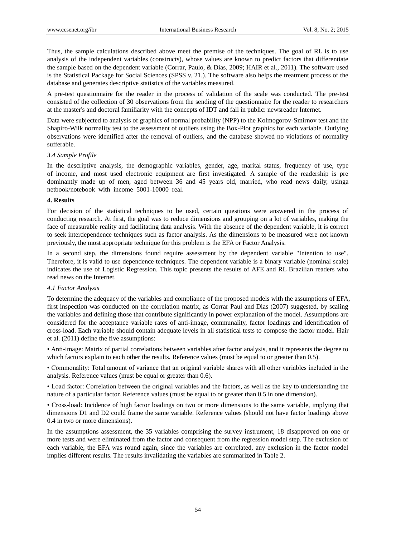Thus, the sample calculations described above meet the premise of the techniques. The goal of RL is to use analysis of the independent variables (constructs), whose values are known to predict factors that differentiate the sample based on the dependent variable (Corrar, Paulo, & Dias, 2009; HAIR et al., 2011). The software used is the Statistical Package for Social Sciences (SPSS v. 21.). The software also helps the treatment process of the database and generates descriptive statistics of the variables measured.

A pre-test questionnaire for the reader in the process of validation of the scale was conducted. The pre-test consisted of the collection of 30 observations from the sending of the questionnaire for the reader to researchers at the master's and doctoral familiarity with the concepts of IDT and fall in public: newsreader Internet.

Data were subjected to analysis of graphics of normal probability (NPP) to the Kolmogorov-Smirnov test and the Shapiro-Wilk normality test to the assessment of outliers using the Box-Plot graphics for each variable. Outlying observations were identified after the removal of outliers, and the database showed no violations of normality sufferable.

## *3.4 Sample Profile*

In the descriptive analysis, the demographic variables, gender, age, marital status, frequency of use, type of income, and most used electronic equipment are first investigated. A sample of the readership is pre dominantly made up of men, aged between 36 and 45 years old, married, who read news daily, usinga netbook/notebook with income 5001-10000 real.

## **4. Results**

For decision of the statistical techniques to be used, certain questions were answered in the process of conducting research. At first, the goal was to reduce dimensions and grouping on a lot of variables, making the face of measurable reality and facilitating data analysis. With the absence of the dependent variable, it is correct to seek interdependence techniques such as factor analysis. As the dimensions to be measured were not known previously, the most appropriate technique for this problem is the EFA or Factor Analysis.

In a second step, the dimensions found require assessment by the dependent variable "Intention to use". Therefore, it is valid to use dependence techniques. The dependent variable is a binary variable (nominal scale) indicates the use of Logistic Regression. This topic presents the results of AFE and RL Brazilian readers who read news on the Internet.

## *4.1 Factor Analysis*

To determine the adequacy of the variables and compliance of the proposed models with the assumptions of EFA, first inspection was conducted on the correlation matrix, as Corrar Paul and Dias (2007) suggested, by scaling the variables and defining those that contribute significantly in power explanation of the model. Assumptions are considered for the acceptance variable rates of anti-image, communality, factor loadings and identification of cross-load. Each variable should contain adequate levels in all statistical tests to compose the factor model. Hair et al. (2011) define the five assumptions:

• Anti-image: Matrix of partial correlations between variables after factor analysis, and it represents the degree to which factors explain to each other the results. Reference values (must be equal to or greater than 0.5).

• Commonality: Total amount of variance that an original variable shares with all other variables included in the analysis. Reference values (must be equal or greater than 0.6).

• Load factor: Correlation between the original variables and the factors, as well as the key to understanding the nature of a particular factor. Reference values (must be equal to or greater than 0.5 in one dimension).

• Cross-load: Incidence of high factor loadings on two or more dimensions to the same variable, implying that dimensions D1 and D2 could frame the same variable. Reference values (should not have factor loadings above 0.4 in two or more dimensions).

In the assumptions assessment, the 35 variables comprising the survey instrument, 18 disapproved on one or more tests and were eliminated from the factor and consequent from the regression model step. The exclusion of each variable, the EFA was round again, since the variables are correlated, any exclusion in the factor model implies different results. The results invalidating the variables are summarized in Table 2.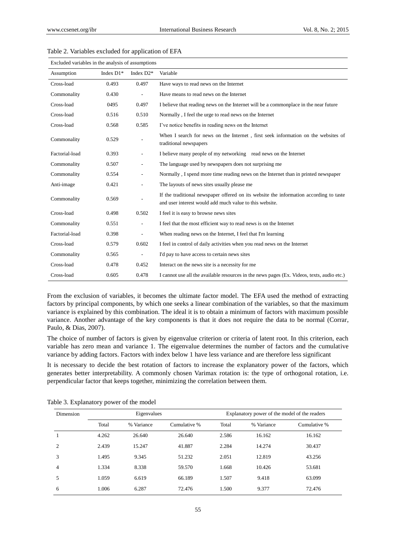| Excluded variables in the analysis of assumptions |             |                          |                                                                                                                                                   |  |  |
|---------------------------------------------------|-------------|--------------------------|---------------------------------------------------------------------------------------------------------------------------------------------------|--|--|
| Assumption                                        | Index $D1*$ | Index $D2^*$             | Variable                                                                                                                                          |  |  |
| Cross-load                                        | 0.493       | 0.497                    | Have ways to read news on the Internet                                                                                                            |  |  |
| Commonality                                       | 0.430       | $\overline{\phantom{a}}$ | Have means to read news on the Internet                                                                                                           |  |  |
| Cross-load                                        | 0495        | 0.497                    | I believe that reading news on the Internet will be a commonplace in the near future                                                              |  |  |
| Cross-load                                        | 0.516       | 0.510                    | Normally, I feel the urge to read news on the Internet                                                                                            |  |  |
| Cross-load                                        | 0.568       | 0.585                    | I've notice benefits in reading news on the Internet                                                                                              |  |  |
| Commonality                                       | 0.529       |                          | When I search for news on the Internet, first seek information on the websites of<br>traditional newspapers                                       |  |  |
| Factorial-load                                    | 0.393       | $\overline{\phantom{0}}$ | I believe many people of my networking read news on the Internet                                                                                  |  |  |
| Commonality                                       | 0.507       | $\overline{\phantom{0}}$ | The language used by newspapers does not surprising me                                                                                            |  |  |
| Commonality                                       | 0.554       | $\overline{\phantom{0}}$ | Normally, I spend more time reading news on the Internet than in printed newspaper                                                                |  |  |
| Anti-image                                        | 0.421       | $\overline{a}$           | The layouts of news sites usually please me                                                                                                       |  |  |
| Commonality                                       | 0.569       |                          | If the traditional newspaper offered on its website the information according to taste<br>and user interest would add much value to this website. |  |  |
| Cross-load                                        | 0.498       | 0.502                    | I feel it is easy to browse news sites                                                                                                            |  |  |
| Commonality                                       | 0.551       | $\frac{1}{2}$            | I feel that the most efficient way to read news is on the Internet                                                                                |  |  |
| Factorial-load                                    | 0.398       | -                        | When reading news on the Internet, I feel that I'm learning                                                                                       |  |  |
| Cross-load                                        | 0.579       | 0.602                    | I feel in control of daily activities when you read news on the Internet                                                                          |  |  |
| Commonality                                       | 0.565       | $\overline{\phantom{a}}$ | I'd pay to have access to certain news sites                                                                                                      |  |  |
| Cross-load                                        | 0.478       | 0.452                    | Interact on the news site is a necessity for me                                                                                                   |  |  |
| Cross-load                                        | 0.605       | 0.478                    | I cannot use all the available resources in the news pages (Ex. Videos, texts, audio etc.)                                                        |  |  |

Table 2. Variables excluded for application of EFA

From the exclusion of variables, it becomes the ultimate factor model. The EFA used the method of extracting factors by principal components, by which one seeks a linear combination of the variables, so that the maximum variance is explained by this combination. The ideal it is to obtain a minimum of factors with maximum possible variance. Another advantage of the key components is that it does not require the data to be normal (Corrar, Paulo, & Dias, 2007).

The choice of number of factors is given by eigenvalue criterion or criteria of latent root. In this criterion, each variable has zero mean and variance 1. The eigenvalue determines the number of factors and the cumulative variance by adding factors. Factors with index below 1 have less variance and are therefore less significant

It is necessary to decide the best rotation of factors to increase the explanatory power of the factors, which generates better interpretability. A commonly chosen Varimax rotation is: the type of orthogonal rotation, i.e. perpendicular factor that keeps together, minimizing the correlation between them.

| Dimension      |       | Eigenvalues |              | Explanatory power of the model of the readers |            |              |  |
|----------------|-------|-------------|--------------|-----------------------------------------------|------------|--------------|--|
|                | Total | % Variance  | Cumulative % | Total                                         | % Variance | Cumulative % |  |
|                | 4.262 | 26.640      | 26.640       | 2.586                                         | 16.162     | 16.162       |  |
| $\overline{c}$ | 2.439 | 15.247      | 41.887       | 2.284                                         | 14.274     | 30.437       |  |
| 3              | 1.495 | 9.345       | 51.232       | 2.051                                         | 12.819     | 43.256       |  |
| $\overline{4}$ | 1.334 | 8.338       | 59.570       | 1.668                                         | 10.426     | 53.681       |  |
| 5              | 1.059 | 6.619       | 66.189       | 1.507                                         | 9.418      | 63.099       |  |
| 6              | 1.006 | 6.287       | 72.476       | 1.500                                         | 9.377      | 72.476       |  |

Table 3. Explanatory power of the model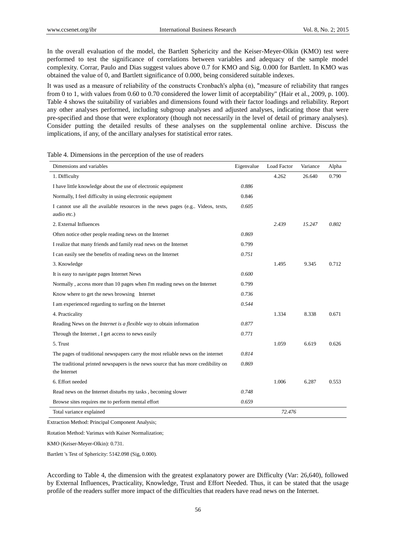In the overall evaluation of the model, the Bartlett Sphericity and the Keiser-Meyer-Olkin (KMO) test were performed to test the significance of correlations between variables and adequacy of the sample model complexity. Corrar, Paulo and Dias suggest values above 0.7 for KMO and Sig. 0.000 for Bartlett. In KMO was obtained the value of 0, and Bartlett significance of 0.000, being considered suitable indexes.

It was used as a measure of reliability of the constructs Cronbach's alpha (α), "measure of reliability that ranges from 0 to 1, with values from 0.60 to 0.70 considered the lower limit of acceptability" (Hair et al., 2009, p. 100). Table 4 shows the suitability of variables and dimensions found with their factor loadings and reliability. Report any other analyses performed, including subgroup analyses and adjusted analyses, indicating those that were pre-specified and those that were exploratory (though not necessarily in the level of detail of primary analyses). Consider putting the detailed results of these analyses on the supplemental online archive. Discuss the implications, if any, of the ancillary analyses for statistical error rates.

| Dimensions and variables                                                                           | Eigenvalue | <b>Load Factor</b> | Variance | Alpha |
|----------------------------------------------------------------------------------------------------|------------|--------------------|----------|-------|
| 1. Difficulty                                                                                      |            | 4.262              | 26.640   | 0.790 |
| I have little knowledge about the use of electronic equipment                                      | 0.886      |                    |          |       |
| Normally, I feel difficulty in using electronic equipment                                          | 0.846      |                    |          |       |
| I cannot use all the available resources in the news pages (e.g Videos, texts,<br>audio etc.)      | 0.605      |                    |          |       |
| 2. External Influences                                                                             |            | 2.439              | 15.247   | 0.802 |
| Often notice other people reading news on the Internet                                             | 0.869      |                    |          |       |
| I realize that many friends and family read news on the Internet                                   | 0.799      |                    |          |       |
| I can easily see the benefits of reading news on the Internet                                      | 0.751      |                    |          |       |
| 3. Knowledge                                                                                       |            | 1.495              | 9.345    | 0.712 |
| It is easy to navigate pages Internet News                                                         | 0.600      |                    |          |       |
| Normally, access more than 10 pages when I'm reading news on the Internet                          | 0.799      |                    |          |       |
| Know where to get the news browsing Internet                                                       | 0.736      |                    |          |       |
| I am experienced regarding to surfing on the Internet                                              | 0.544      |                    |          |       |
| 4. Practicality                                                                                    |            | 1.334              | 8.338    | 0.671 |
| Reading News on the <i>Internet is a flexible way</i> to obtain information                        | 0.877      |                    |          |       |
| Through the Internet, I get access to news easily                                                  | 0.771      |                    |          |       |
| 5. Trust                                                                                           |            | 1.059              | 6.619    | 0.626 |
| The pages of traditional newspapers carry the most reliable news on the internet                   | 0.814      |                    |          |       |
| The traditional printed newspapers is the news source that has more credibility on<br>the Internet | 0.869      |                    |          |       |
| 6. Effort needed                                                                                   |            | 1.006              | 6.287    | 0.553 |
| Read news on the Internet disturbs my tasks, becoming slower                                       | 0.748      |                    |          |       |
| Browse sites requires me to perform mental effort                                                  | 0.659      |                    |          |       |
| Total variance explained                                                                           |            | 72.476             |          |       |

Table 4. Dimensions in the perception of the use of readers

Extraction Method: Principal Component Analysis;

Rotation Method: Varimax with Kaiser Normalization;

KMO (Keiser-Meyer-Olkin): 0.731.

Bartlett 's Test of Sphericity: 5142.098 (Sig, 0.000).

According to Table 4, the dimension with the greatest explanatory power are Difficulty (Var: 26,640), followed by External Influences, Practicality, Knowledge, Trust and Effort Needed. Thus, it can be stated that the usage profile of the readers suffer more impact of the difficulties that readers have read news on the Internet.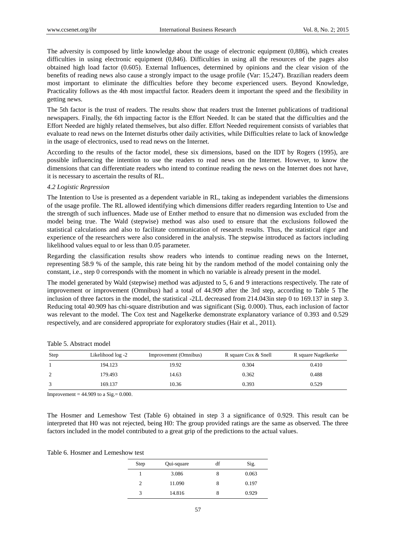The adversity is composed by little knowledge about the usage of electronic equipment (0,886), which creates difficulties in using electronic equipment (0,846). Difficulties in using all the resources of the pages also obtained high load factor (0.605). External Influences, determined by opinions and the clear vision of the benefits of reading news also cause a strongly impact to the usage profile (Var: 15,247). Brazilian readers deem most important to eliminate the difficulties before they become experienced users. Beyond Knowledge, Practicality follows as the 4th most impactful factor. Readers deem it important the speed and the flexibility in getting news.

The 5th factor is the trust of readers. The results show that readers trust the Internet publications of traditional newspapers. Finally, the 6th impacting factor is the Effort Needed. It can be stated that the difficulties and the Effort Needed are highly related themselves, but also differ. Effort Needed requirement consists of variables that evaluate to read news on the Internet disturbs other daily activities, while Difficulties relate to lack of knowledge in the usage of electronics, used to read news on the Internet.

According to the results of the factor model, these six dimensions, based on the IDT by Rogers (1995), are possible influencing the intention to use the readers to read news on the Internet. However, to know the dimensions that can differentiate readers who intend to continue reading the news on the Internet does not have, it is necessary to ascertain the results of RL.

### *4.2 Logistic Regression*

The Intention to Use is presented as a dependent variable in RL, taking as independent variables the dimensions of the usage profile. The RL allowed identifying which dimensions differ readers regarding Intention to Use and the strength of such influences. Made use of Enther method to ensure that no dimension was excluded from the model being true. The Wald (stepwise) method was also used to ensure that the exclusions followed the statistical calculations and also to facilitate communication of research results. Thus, the statistical rigor and experience of the researchers were also considered in the analysis. The stepwise introduced as factors including likelihood values equal to or less than 0.05 parameter.

Regarding the classification results show readers who intends to continue reading news on the Internet, representing 58.9 % of the sample, this rate being hit by the random method of the model containing only the constant, i.e., step 0 corresponds with the moment in which no variable is already present in the model.

The model generated by Wald (stepwise) method was adjusted to 5, 6 and 9 interactions respectively. The rate of improvement or improvement (Omnibus) had a total of 44.909 after the 3rd step, according to Table 5 The inclusion of three factors in the model, the statistical -2LL decreased from 214.043in step 0 to 169.137 in step 3. Reducing total 40.909 has chi-square distribution and was significant (Sig. 0.000). Thus, each inclusion of factor was relevant to the model. The Cox test and Nagelkerke demonstrate explanatory variance of 0.393 and 0.529 respectively, and are considered appropriate for exploratory studies (Hair et al., 2011).

| Step | Likelihood log -2 | Improvement (Omnibus) | R square Cox & Snell | R square Nagelkerke |
|------|-------------------|-----------------------|----------------------|---------------------|
|      | 194.123           | 19.92                 | 0.304                | 0.410               |
|      | 179.493           | 14.63                 | 0.362                | 0.488               |
|      | 169.137           | 10.36                 | 0.393                | 0.529               |

Table 5. Abstract model

Improvement  $= 44.909$  to a Sig.  $= 0.000$ .

The Hosmer and Lemeshow Test (Table 6) obtained in step 3 a significance of 0.929. This result can be interpreted that H0 was not rejected, being H0: The group provided ratings are the same as observed. The three factors included in the model contributed to a great grip of the predictions to the actual values.

Table 6. Hosmer and Lemeshow test

| Step           | Qui-square | df | Sig.  |
|----------------|------------|----|-------|
|                | 3.086      | 8  | 0.063 |
| $\overline{c}$ | 11.090     | 8  | 0.197 |
| 3              | 14.816     | 8  | 0.929 |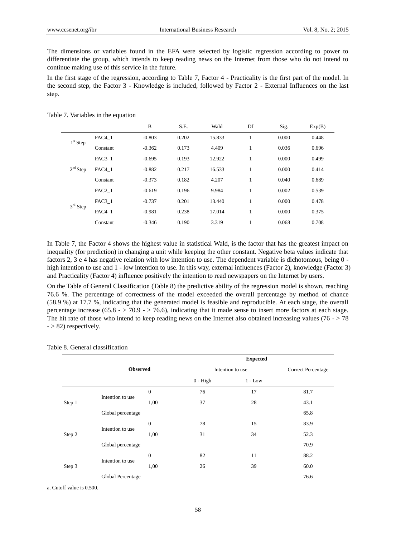The dimensions or variables found in the EFA were selected by logistic regression according to power to differentiate the group, which intends to keep reading news on the Internet from those who do not intend to continue making use of this service in the future.

In the first stage of the regression, according to Table 7, Factor 4 - Practicality is the first part of the model. In the second step, the Factor 3 - Knowledge is included, followed by Factor 2 - External Influences on the last step.

|            |                    | $\, {\bf B}$ | S.E.  | Wald   | Df           | Sig.  | Exp(B) |
|------------|--------------------|--------------|-------|--------|--------------|-------|--------|
| $1st$ Step | FAC4 1             | $-0.803$     | 0.202 | 15.833 |              | 0.000 | 0.448  |
|            | Constant           | $-0.362$     | 0.173 | 4.409  | 1<br>ı       | 0.036 | 0.696  |
|            | FAC3 1             | $-0.695$     | 0.193 | 12.922 | 1            | 0.000 | 0.499  |
| $2nd$ Step | FAC4 1             | $-0.882$     | 0.217 | 16.533 | 1            | 0.000 | 0.414  |
|            | Constant           | $-0.373$     | 0.182 | 4.207  | 1            | 0.040 | 0.689  |
|            | FAC <sub>2</sub> 1 | $-0.619$     | 0.196 | 9.984  | 1            | 0.002 | 0.539  |
| $3rd$ Step | FAC3 1             | $-0.737$     | 0.201 | 13.440 | $\mathbf{1}$ | 0.000 | 0.478  |
|            | FAC4 1             | $-0.981$     | 0.238 | 17.014 | 1            | 0.000 | 0.375  |
|            | Constant           | $-0.346$     | 0.190 | 3.319  | 1            | 0.068 | 0.708  |

Table 7. Variables in the equation

In Table 7, the Factor 4 shows the highest value in statistical Wald, is the factor that has the greatest impact on inequality (for prediction) in changing a unit while keeping the other constant. Negative beta values indicate that factors 2, 3 e 4 has negative relation with low intention to use. The dependent variable is dichotomous, being 0 high intention to use and 1 - low intention to use. In this way, external influences (Factor 2), knowledge (Factor 3) and Practicality (Factor 4) influence positively the intention to read newspapers on the Internet by users.

On the Table of General Classification (Table 8) the predictive ability of the regression model is shown, reaching 76.6 %. The percentage of correctness of the model exceeded the overall percentage by method of chance (58.9 %) at 17.7 %, indicating that the generated model is feasible and reproducible. At each stage, the overall percentage increase (65.8 -  $>$  70.9 -  $>$  76.6), indicating that it made sense to insert more factors at each stage. The hit rate of those who intend to keep reading news on the Internet also obtained increasing values ( $76 \div 78$  $-$  > 82) respectively.

|        |                   |                | <b>Expected</b>  |                    |      |  |
|--------|-------------------|----------------|------------------|--------------------|------|--|
|        | <b>Observed</b>   |                | Intention to use | Correct Percentage |      |  |
|        |                   |                | $0 - High$       | $1 - Low$          |      |  |
|        |                   | $\overline{0}$ | 76               | 17                 | 81.7 |  |
| Step 1 | Intention to use  | 1,00           | 37               | 28                 | 43.1 |  |
|        | Global percentage |                |                  |                    | 65.8 |  |
|        |                   | $\theta$       | 78               | 15                 | 83.9 |  |
| Step 2 | Intention to use  | 1,00           | 31               | 34                 | 52.3 |  |
|        | Global percentage |                |                  |                    | 70.9 |  |
|        |                   | $\overline{0}$ | 82               | 11                 | 88.2 |  |
| Step 3 | Intention to use  | 1,00           | 26               | 39                 | 60.0 |  |
|        | Global Percentage |                |                  |                    | 76.6 |  |

Table 8. General classification

a. Cutoff value is 0.500.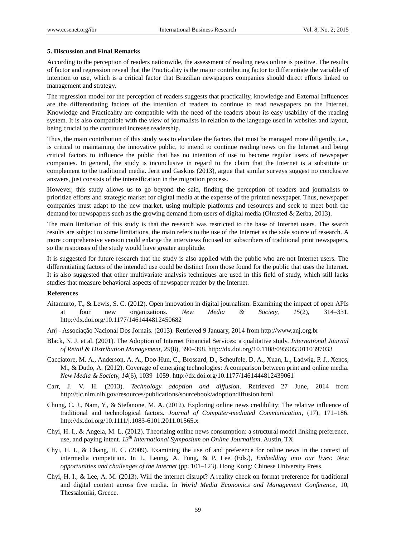### **5. Discussion and Final Remarks**

According to the perception of readers nationwide, the assessment of reading news online is positive. The results of factor and regression reveal that the Practicality is the major contributing factor to differentiate the variable of intention to use, which is a critical factor that Brazilian newspapers companies should direct efforts linked to management and strategy.

The regression model for the perception of readers suggests that practicality, knowledge and External Influences are the differentiating factors of the intention of readers to continue to read newspapers on the Internet. Knowledge and Practicality are compatible with the need of the readers about its easy usability of the reading system. It is also compatible with the view of journalists in relation to the language used in websites and layout, being crucial to the continued increase readership.

Thus, the main contribution of this study was to elucidate the factors that must be managed more diligently, i.e., is critical to maintaining the innovative public, to intend to continue reading news on the Internet and being critical factors to influence the public that has no intention of use to become regular users of newspaper companies. In general, the study is inconclusive in regard to the claim that the Internet is a substitute or complement to the traditional media. Jerit and Gaskins (2013), argue that similar surveys suggest no conclusive answers, just consists of the intensification in the migration process.

However, this study allows us to go beyond the said, finding the perception of readers and journalists to prioritize efforts and strategic market for digital media at the expense of the printed newspaper. Thus, newspaper companies must adapt to the new market, using multiple platforms and resources and seek to meet both the demand for newspapers such as the growing demand from users of digital media (Olmsted & Zerba, 2013).

The main limitation of this study is that the research was restricted to the base of Internet users. The search results are subject to some limitations, the main refers to the use of the Internet as the sole source of research. A more comprehensive version could enlarge the interviews focused on subscribers of traditional print newspapers, so the responses of the study would have greater amplitude.

It is suggested for future research that the study is also applied with the public who are not Internet users. The differentiating factors of the intended use could be distinct from those found for the public that uses the Internet. It is also suggested that other multivariate analysis techniques are used in this field of study, which still lacks studies that measure behavioral aspects of newspaper reader by the Internet.

## **References**

- Aitamurto, T., & Lewis, S. C. (2012). Open innovation in digital journalism: Examining the impact of open APIs at four new organizations. *New Media & Society, 15*(2), 314–331. http://dx.doi.org/10.1177/1461444812450682
- Anj Associação Nacional Dos Jornais. (2013). Retrieved 9 January, 2014 from http://www.anj.org.br
- Black, N. J. et al. (2001). The Adoption of Internet Financial Services: a qualitative study. *International Journal of Retail & Distribution Management, 29*(8), 390–398. http://dx.doi.org/10.1108/09590550110397033
- Cacciatore, M. A., Anderson, A. A., Doo-Hun, C., Brossard, D., Scheufele, D. A., Xuan, L., Ladwig, P. J., Xenos, M., & Dudo, A. (2012). Coverage of emerging technologies: A comparison between print and online media. *New Media & Society, 14*(6), 1039–1059. http://dx.doi.org/10.1177/1461444812439061
- Carr, J. V. H. (2013). *Technology adoption and diffusion*. Retrieved 27 June, 2014 from http://tlc.nlm.nih.gov/resources/publications/sourcebook/adoptiondiffusion.html
- Chung, C. J., Nam, Y., & Stefanone, M. A. (2012). Exploring online news credibility: The relative influence of traditional and technological factors. *Journal of Computer-mediated Communication,* (17), 171–186. http://dx.doi.org/10.1111/j.1083-6101.2011.01565.x
- Chyi, H. I., & Angela, M. L. (2012). Theorizing online news consumption: a structural model linking preference, use, and paying intent. *13th International Symposium on Online Journalism*. Austin, TX.
- Chyi, H. I., & Chang, H. C. (2009). Examining the use of and preference for online news in the context of intermedia competition. In L. Leung, A. Fung, & P. Lee (Eds.), *Embedding into our lives: New opportunities and challenges of the Internet* (pp. 101–123). Hong Kong: Chinese University Press.
- Chyi, H. I., & Lee, A. M. (2013). Will the internet disrupt? A reality check on format preference for traditional and digital content across five media. In *World Media Economics and Management Conference*, 10, Thessaloniki, Greece.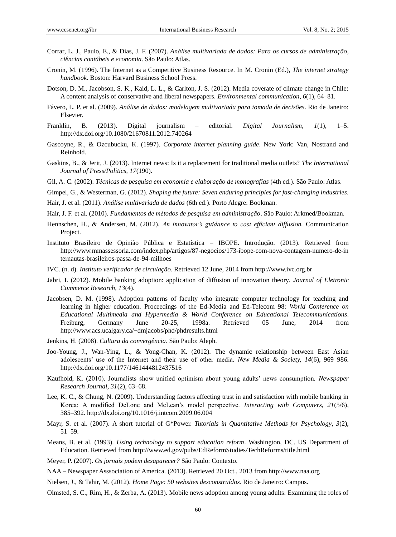- Corrar, L. J., Paulo, E., & Dias, J. F. (2007). *Análise multivariada de dados: Para os cursos de administração, ciências contábeis e economia*. São Paulo: Atlas.
- Cronin, M. (1996). The Internet as a Competitive Business Resource. In M. Cronin (Ed.), *The internet strategy handbook*. Boston: Harvard Business School Press.
- Dotson, D. M., Jacobson, S. K., Kaid, L. L., & Carlton, J. S. (2012). Media coverate of climate change in Chile: A content analysis of conservative and liberal newspapers. *Environmental communication, 6*(1), 64–81.
- Fávero, L. P. et al. (2009). *Análise de dados: modelagem multivariada para tomada de decisões*. Rio de Janeiro: Elsevier.
- Franklin, B. (2013). Digital journalism editorial. *Digital Journalism, 1*(1), 1–5. http://dx.doi.org/10.1080/21670811.2012.740264
- Gascoyne, R., & Ozcubucku, K. (1997). *Corporate internet planning guide*. New York: Van, Nostrand and Reinhold.
- Gaskins, B., & Jerit, J. (2013). Internet news: Is it a replacement for traditional media outlets? *The International Journal of Press/Politics, 17*(190).
- Gil, A. C. (2002). *Técnicas de pesquisa em economia e elaboração de monografias* (4th ed.). São Paulo: Atlas.
- Gimpel, G., & Westerman, G. (2012). *Shaping the future: Seven enduring principles for fast-changing industries*.
- Hair, J. et al. (2011). *Análise multivariada de dados* (6th ed.). Porto Alegre: Bookman.
- Hair, J. F. et al. (2010). *Fundamentos de métodos de pesquisa em administração*. São Paulo: Arkmed/Bookman.
- Hennschen, H., & Andersen, M. (2012). *An innovator's guidance to cost efficient diffusion.* Communication Project.
- Instituto Brasileiro de Opinião Pública e Estatística IBOPE. Introdução. (2013). Retrieved from http://www.mmassessoria.com/index.php/artigos/87-negocios/173-ibope-com-nova-contagem-numero-de-in ternautas-brasileiros-passa-de-94-milhoes
- IVC. (n. d). *Instituto verificador de circulação*. Retrieved 12 June, 2014 from http://www.ivc.org.br
- Jabri, I. (2012). Mobile banking adoption: application of diffusion of innovation theory. *Journal of Eletronic Commerce Research, 13*(4).
- Jacobsen, D. M. (1998). Adoption patterns of faculty who integrate computer technology for teaching and learning in higher education. Proceedings of the Ed-Media and Ed-Telecom 98: *World Conference on Educational Multimedia and Hypermedia & World Conference on Educational Telecommunications*. Freiburg, Germany June 20-25, 1998a. Retrieved 05 June, 2014 from http://www.acs.ucalgary.ca/~dmjacobs/phd/phdresults.html
- Jenkins, H. (2008). *Cultura da convergência*. São Paulo: Aleph.
- Joo-Young, J., Wan-Ying, L., & Yong-Chan, K. (2012). The dynamic relationship between East Asian adolescents' use of the Internet and their use of other media. *New Media & Society, 14*(6), 969–986. http://dx.doi.org/10.1177/1461444812437516
- Kaufhold, K. (2010). Journalists show unified optimism about young adults' news consumption. *Newspaper Research Journal, 31*(2), 63–68.
- Lee, K. C., & Chung, N. (2009). Understanding factors affecting trust in and satisfaction with mobile banking in Korea: A modified DeLone and McLean's model perspective. *Interacting with Computers, 21*(5/6), 385–392. http://dx.doi.org/10.1016/j.intcom.2009.06.004
- Mayr, S. et al. (2007). A short tutorial of G\*Power. *Tutorials in Quantitative Methods for Psychology, 3*(2), 51–59.
- Means, B. et al. (1993). *Using technology to support education reform*. Washington, DC. US Department of Education. Retrieved from http://www.ed.gov/pubs/EdReformStudies/TechReforms/title.html
- Meyer, P. (2007). *Os jornais podem desaparecer?* São Paulo: Contexto.
- NAA Newspaper Asssociation of America. (2013). Retrieved 20 Oct., 2013 from http://www.naa.org
- Nielsen, J., & Tahir, M. (2012). *Home Page: 50 websites desconstruídos*. Rio de Janeiro: Campus.
- Olmsted, S. C., Rim, H., & Zerba, A. (2013). Mobile news adoption among young adults: Examining the roles of